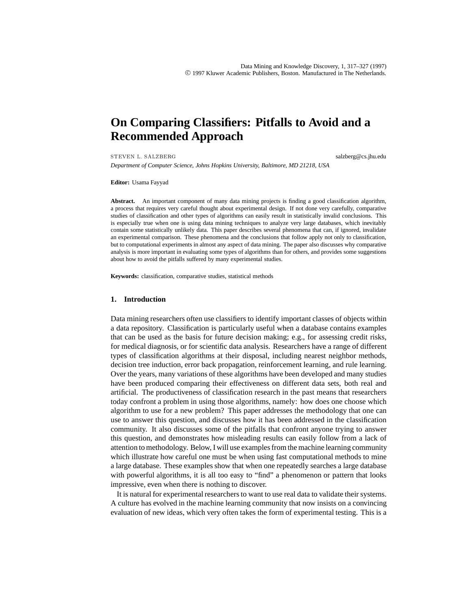# **On Comparing Classifiers: Pitfalls to Avoid and a Recommended Approach**

STEVEN L. SALZBERG salzberg@cs.jhu.edu

*Department of Computer Science, Johns Hopkins University, Baltimore, MD 21218, USA*

**Editor:** Usama Fayyad

Abstract. An important component of many data mining projects is finding a good classification algorithm, a process that requires very careful thought about experimental design. If not done very carefully, comparative studies of classification and other types of algorithms can easily result in statistically invalid conclusions. This is especially true when one is using data mining techniques to analyze very large databases, which inevitably contain some statistically unlikely data. This paper describes several phenomena that can, if ignored, invalidate an experimental comparison. These phenomena and the conclusions that follow apply not only to classification, but to computational experiments in almost any aspect of data mining. The paper also discusses why comparative analysis is more important in evaluating some types of algorithms than for others, and provides some suggestions about how to avoid the pitfalls suffered by many experimental studies.

**Keywords:** classification, comparative studies, statistical methods

## **1. Introduction**

Data mining researchers often use classifiers to identify important classes of objects within a data repository. Classification is particularly useful when a database contains examples that can be used as the basis for future decision making; e.g., for assessing credit risks, for medical diagnosis, or for scientific data analysis. Researchers have a range of different types of classification algorithms at their disposal, including nearest neighbor methods, decision tree induction, error back propagation, reinforcement learning, and rule learning. Over the years, many variations of these algorithms have been developed and many studies have been produced comparing their effectiveness on different data sets, both real and artificial. The productiveness of classification research in the past means that researchers today confront a problem in using those algorithms, namely: how does one choose which algorithm to use for a new problem? This paper addresses the methodology that one can use to answer this question, and discusses how it has been addressed in the classification community. It also discusses some of the pitfalls that confront anyone trying to answer this question, and demonstrates how misleading results can easily follow from a lack of attention to methodology. Below, I will use examples from the machine learning community which illustrate how careful one must be when using fast computational methods to mine a large database. These examples show that when one repeatedly searches a large database with powerful algorithms, it is all too easy to "find" a phenomenon or pattern that looks impressive, even when there is nothing to discover.

It is natural for experimental researchers to want to use real data to validate their systems. A culture has evolved in the machine learning community that now insists on a convincing evaluation of new ideas, which very often takes the form of experimental testing. This is a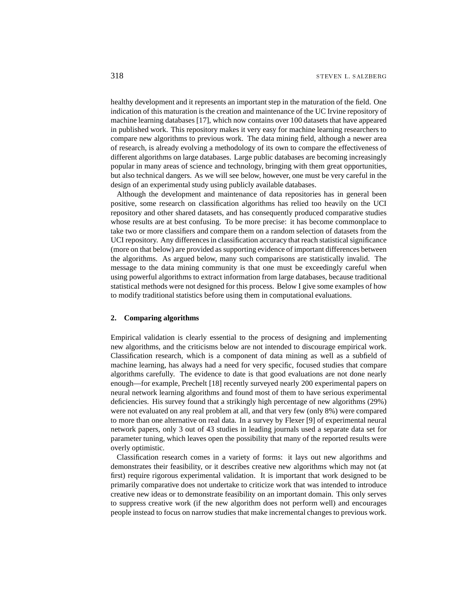healthy development and it represents an important step in the maturation of the field. One indication of this maturation is the creation and maintenance of the UC Irvine repository of machine learning databases [17], which now contains over 100 datasets that have appeared in published work. This repository makes it very easy for machine learning researchers to compare new algorithms to previous work. The data mining field, although a newer area of research, is already evolving a methodology of its own to compare the effectiveness of different algorithms on large databases. Large public databases are becoming increasingly popular in many areas of science and technology, bringing with them great opportunities, but also technical dangers. As we will see below, however, one must be very careful in the design of an experimental study using publicly available databases.

Although the development and maintenance of data repositories has in general been positive, some research on classification algorithms has relied too heavily on the UCI repository and other shared datasets, and has consequently produced comparative studies whose results are at best confusing. To be more precise: it has become commonplace to take two or more classifiers and compare them on a random selection of datasets from the UCI repository. Any differences in classification accuracy that reach statistical significance (more on that below) are provided as supporting evidence of important differences between the algorithms. As argued below, many such comparisons are statistically invalid. The message to the data mining community is that one must be exceedingly careful when using powerful algorithms to extract information from large databases, because traditional statistical methods were not designed for this process. Below I give some examples of how to modify traditional statistics before using them in computational evaluations.

#### **2. Comparing algorithms**

Empirical validation is clearly essential to the process of designing and implementing new algorithms, and the criticisms below are not intended to discourage empirical work. Classification research, which is a component of data mining as well as a subfield of machine learning, has always had a need for very specific, focused studies that compare algorithms carefully. The evidence to date is that good evaluations are not done nearly enough—for example, Prechelt [18] recently surveyed nearly 200 experimental papers on neural network learning algorithms and found most of them to have serious experimental deficiencies. His survey found that a strikingly high percentage of new algorithms (29%) were not evaluated on any real problem at all, and that very few (only 8%) were compared to more than one alternative on real data. In a survey by Flexer [9] of experimental neural network papers, only 3 out of 43 studies in leading journals used a separate data set for parameter tuning, which leaves open the possibility that many of the reported results were overly optimistic.

Classification research comes in a variety of forms: it lays out new algorithms and demonstrates their feasibility, or it describes creative new algorithms which may not (at first) require rigorous experimental validation. It is important that work designed to be primarily comparative does not undertake to criticize work that was intended to introduce creative new ideas or to demonstrate feasibility on an important domain. This only serves to suppress creative work (if the new algorithm does not perform well) and encourages people instead to focus on narrow studies that make incremental changes to previous work.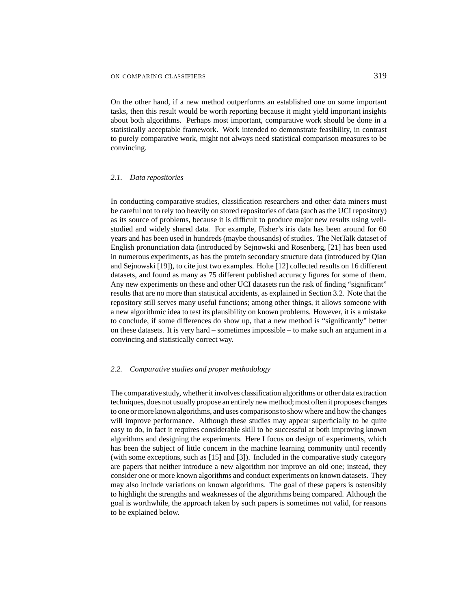On the other hand, if a new method outperforms an established one on some important tasks, then this result would be worth reporting because it might yield important insights about both algorithms. Perhaps most important, comparative work should be done in a statistically acceptable framework. Work intended to demonstrate feasibility, in contrast to purely comparative work, might not always need statistical comparison measures to be convincing.

#### *2.1. Data repositories*

In conducting comparative studies, classification researchers and other data miners must be careful not to rely too heavily on stored repositories of data (such as the UCI repository) as its source of problems, because it is difficult to produce major new results using wellstudied and widely shared data. For example, Fisher's iris data has been around for 60 years and has been used in hundreds (maybe thousands) of studies. The NetTalk dataset of English pronunciation data (introduced by Sejnowski and Rosenberg, [21] has been used in numerous experiments, as has the protein secondary structure data (introduced by Qian and Sejnowski [19]), to cite just two examples. Holte [12] collected results on 16 different datasets, and found as many as 75 different published accuracy figures for some of them. Any new experiments on these and other UCI datasets run the risk of finding "significant" results that are no more than statistical accidents, as explained in Section 3.2. Note that the repository still serves many useful functions; among other things, it allows someone with a new algorithmic idea to test its plausibility on known problems. However, it is a mistake to conclude, if some differences do show up, that a new method is "significantly" better on these datasets. It is very hard – sometimes impossible – to make such an argument in a convincing and statistically correct way.

#### *2.2. Comparative studies and proper methodology*

The comparative study, whether it involves classification algorithms or other data extraction techniques, does not usually propose an entirely new method;most often it proposes changes to one or more known algorithms, and uses comparisons to show where and how the changes will improve performance. Although these studies may appear superficially to be quite easy to do, in fact it requires considerable skill to be successful at both improving known algorithms and designing the experiments. Here I focus on design of experiments, which has been the subject of little concern in the machine learning community until recently (with some exceptions, such as [15] and [3]). Included in the comparative study category are papers that neither introduce a new algorithm nor improve an old one; instead, they consider one or more known algorithms and conduct experiments on known datasets. They may also include variations on known algorithms. The goal of these papers is ostensibly to highlight the strengths and weaknesses of the algorithms being compared. Although the goal is worthwhile, the approach taken by such papers is sometimes not valid, for reasons to be explained below.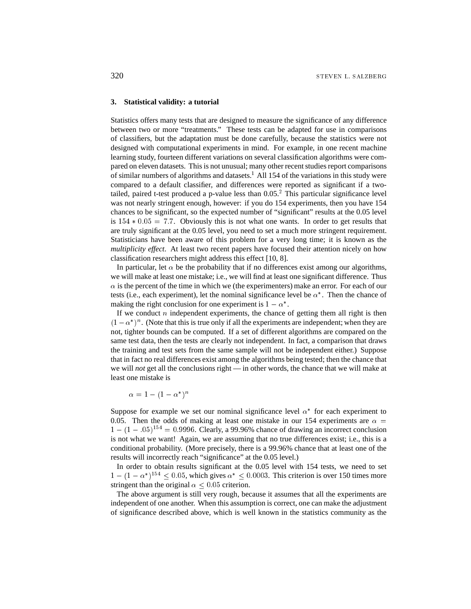## **3. Statistical validity: a tutorial**

Statistics offers many tests that are designed to measure the significance of any difference between two or more "treatments." These tests can be adapted for use in comparisons of classifiers, but the adaptation must be done carefully, because the statistics were not designed with computational experiments in mind. For example, in one recent machine learning study, fourteen different variations on several classification algorithms were compared on eleven datasets. This is not unusual; many other recent studies report comparisons of similar numbers of algorithms and datasets.<sup>1</sup> All 154 of the variations in this study were compared to a default classifier, and differences were reported as significant if a twotailed, paired t-test produced a p-value less than 0.05.<sup>2</sup> This particular significance level was not nearly stringent enough, however: if you do 154 experiments, then you have 154 chances to be significant, so the expected number of "significant" results at the 0.05 level is  $154 * 0.05 = 7.7$ . Obviously this is not what one wants. In order to get results that are truly significant at the 0.05 level, you need to set a much more stringent requirement. Statisticians have been aware of this problem for a very long time; it is known as the *multiplicity effect*. At least two recent papers have focused their attention nicely on how classification researchers might address this effect [10, 8].

In particular, let  $\alpha$  be the probability that if no differences exist among our algorithms, we will make at least one mistake; i.e., we will find at least one significant difference. Thus  $\alpha$  is the percent of the time in which we (the experimenters) make an error. For each of our tests (i.e., each experiment), let the nominal significance level be  $\alpha^*$ . Then the chance of making the right conclusion for one experiment is  $1 - \alpha^*$ .

If we conduct  $n$  independent experiments, the chance of getting them all right is then  $(1 - \alpha^*)^n$ . (Note that this is true only if all the experiments are independent; when they are not, tighter bounds can be computed. If a set of different algorithms are compared on the same test data, then the tests are clearly not independent. In fact, a comparison that draws the training and test sets from the same sample will not be independent either.) Suppose that in fact no real differences exist among the algorithms being tested; then the chance that we will *not* get all the conclusions right — in other words, the chance that we will make at least one mistake is

$$
\alpha = 1 - (1 - \alpha^*)^n
$$

Suppose for example we set our nominal significance level  $\alpha^*$  for each experiment to 0.05. Then the odds of making at least one mistake in our 154 experiments are  $\alpha =$  $1 - (1 - .05)^{154} = 0.9996$ . Clearly, a 99.96% chance of drawing an incorrect conclusion is not what we want! Again, we are assuming that no true differences exist; i.e., this is a conditional probability. (More precisely, there is a 99.96% chance that at least one of the results will incorrectly reach "significance" at the 0.05 level.)

In order to obtain results significant at the 0.05 level with 154 tests, we need to set  $1 - (1 - \alpha^*)^{154} \leq 0.05$ , which gives  $\alpha^* \leq 0.0003$ . This criterion is over 150 times more stringent than the original  $\alpha \leq 0.05$  criterion.

The above argument is still very rough, because it assumes that all the experiments are independent of one another. When this assumption is correct, one can make the adjustment of significance described above, which is well known in the statistics community as the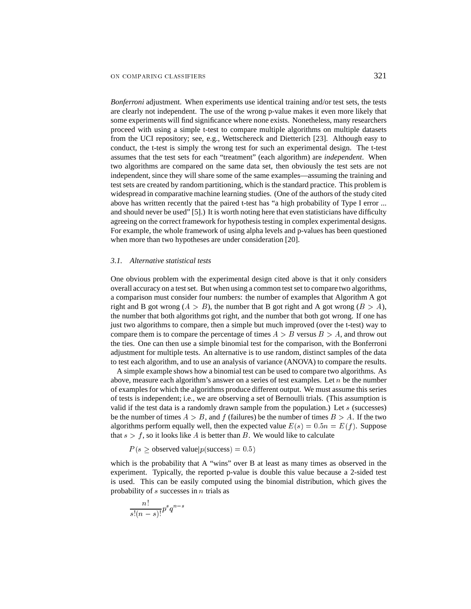*Bonferroni* adjustment. When experiments use identical training and/or test sets, the tests are clearly not independent. The use of the wrong p-value makes it even more likely that some experiments will find significance where none exists. Nonetheless, many researchers proceed with using a simple t-test to compare multiple algorithms on multiple datasets from the UCI repository; see, e.g., Wettschereck and Dietterich [23]. Although easy to conduct, the t-test is simply the wrong test for such an experimental design. The t-test assumes that the test sets for each "treatment" (each algorithm) are *independent*. When two algorithms are compared on the same data set, then obviously the test sets are not independent, since they will share some of the same examples—assuming the training and test sets are created by random partitioning, which is the standard practice. This problem is widespread in comparative machine learning studies. (One of the authors of the study cited above has written recently that the paired t-test has "a high probability of Type I error ... and should never be used" [5].) It is worth noting here that even statisticians have difficulty agreeing on the correct framework for hypothesis testing in complex experimental designs. For example, the whole framework of using alpha levels and p-values has been questioned when more than two hypotheses are under consideration [20].

#### *3.1. Alternative statistical tests*

One obvious problem with the experimental design cited above is that it only considers overall accuracy on a test set. But when using a common test set to compare two algorithms, a comparison must consider four numbers: the number of examples that Algorithm A got right and B got wrong  $(A > B)$ , the number that B got right and A got wrong  $(B > A)$ , the number that both algorithms got right, and the number that both got wrong. If one has just two algorithms to compare, then a simple but much improved (over the t-test) way to compare them is to compare the percentage of times  $A > B$  versus  $B > A$ , and throw out the ties. One can then use a simple binomial test for the comparison, with the Bonferroni adjustment for multiple tests. An alternative is to use random, distinct samples of the data to test each algorithm, and to use an analysis of variance (ANOVA) to compare the results.

A simple example shows how a binomial test can be used to compare two algorithms. As above, measure each algorithm's answer on a series of test examples. Let  $n$  be the number of examples for which the algorithms produce different output. We must assume this series of tests is independent; i.e., we are observing a set of Bernoulli trials. (This assumption is valid if the test data is a randomly drawn sample from the population.) Let  $s$  (successes) be the number of times  $A > B$ , and f (failures) be the number of times  $B > A$ . If the two algorithms perform equally well, then the expected value  $E(s) = 0.5n = E(f)$ . Suppose that  $s > f$ , so it looks like A is better than B. We would like to calculate

 $P(s >$  observed value $p$ (success) = 0.5)

which is the probability that A "wins" over B at least as many times as observed in the experiment. Typically, the reported p-value is double this value because a 2-sided test is used. This can be easily computed using the binomial distribution, which gives the probability of  $s$  successes in  $n$  trials as

$$
\frac{n!}{s!\left(n-s\right)!}p^{s}q^{n-s}
$$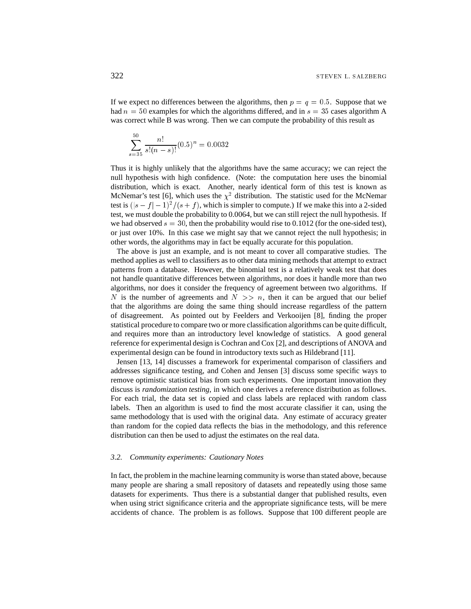If we expect no differences between the algorithms, then  $p = q = 0.5$ . Suppose that we had  $n = 50$  examples for which the algorithms differed, and in  $s = 35$  cases algorithm A was correct while B was wrong. Then we can compute the probability of this result as

$$
\sum_{s=35}^{50} \frac{n!}{s!(n-s)!} (0.5)^n = 0.0032
$$

Thus it is highly unlikely that the algorithms have the same accuracy; we can reject the null hypothesis with high confidence. (Note: the computation here uses the binomial distribution, which is exact. Another, nearly identical form of this test is known as McNemar's test [6], which uses the  $\chi^2$  distribution. The statistic used for the McNemar test is  $(|s - f| - 1)^2/(s + f)$ , which is simpler to compute.) If we make this into a 2-sided test, we must double the probability to 0.0064, but we can still reject the null hypothesis. If we had observed  $s = 30$ , then the probability would rise to 0.1012 (for the one-sided test), or just over 10%. In this case we might say that we cannot reject the null hypothesis; in other words, the algorithms may in fact be equally accurate for this population.

The above is just an example, and is not meant to cover all comparative studies. The method applies as well to classifiers as to other data mining methods that attempt to extract patterns from a database. However, the binomial test is a relatively weak test that does not handle quantitative differences between algorithms, nor does it handle more than two algorithms, nor does it consider the frequency of agreement between two algorithms. If N is the number of agreements and  $N \gg n$ , then it can be argued that our belief that the algorithms are doing the same thing should increase regardless of the pattern of disagreement. As pointed out by Feelders and Verkooijen [8], finding the proper statistical procedure to compare two or more classification algorithms can be quite difficult, and requires more than an introductory level knowledge of statistics. A good general reference for experimental design is Cochran and Cox [2], and descriptions of ANOVA and experimental design can be found in introductory texts such as Hildebrand [11].

Jensen [13, 14] discusses a framework for experimental comparison of classifiers and addresses significance testing, and Cohen and Jensen [3] discuss some specific ways to remove optimistic statistical bias from such experiments. One important innovation they discuss is *randomization testing*, in which one derives a reference distribution as follows. For each trial, the data set is copied and class labels are replaced with random class labels. Then an algorithm is used to find the most accurate classifier it can, using the same methodology that is used with the original data. Any estimate of accuracy greater than random for the copied data reflects the bias in the methodology, and this reference distribution can then be used to adjust the estimates on the real data.

# *3.2. Community experiments: Cautionary Notes*

In fact, the problem in the machine learning community is worse than stated above, because many people are sharing a small repository of datasets and repeatedly using those same datasets for experiments. Thus there is a substantial danger that published results, even when using strict significance criteria and the appropriate significance tests, will be mere accidents of chance. The problem is as follows. Suppose that 100 different people are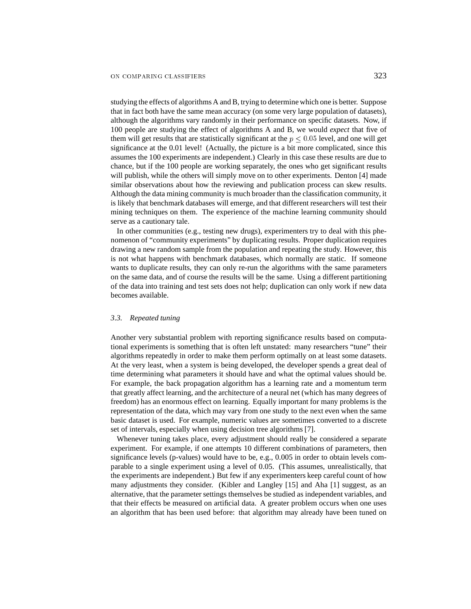studying the effects of algorithms A and B, trying to determine which one is better. Suppose that in fact both have the same mean accuracy (on some very large population of datasets), although the algorithms vary randomly in their performance on specific datasets. Now, if 100 people are studying the effect of algorithms A and B, we would *expect* that five of them will get results that are statistically significant at the  $p \leq 0.05$  level, and one will get significance at the 0.01 level! (Actually, the picture is a bit more complicated, since this assumes the 100 experiments are independent.) Clearly in this case these results are due to chance, but if the 100 people are working separately, the ones who get significant results will publish, while the others will simply move on to other experiments. Denton [4] made similar observations about how the reviewing and publication process can skew results. Although the data mining community is much broader than the classification community, it is likely that benchmark databases will emerge, and that different researchers will test their mining techniques on them. The experience of the machine learning community should serve as a cautionary tale.

In other communities (e.g., testing new drugs), experimenters try to deal with this phenomenon of "community experiments" by duplicating results. Proper duplication requires drawing a new random sample from the population and repeating the study. However, this is not what happens with benchmark databases, which normally are static. If someone wants to duplicate results, they can only re-run the algorithms with the same parameters on the same data, and of course the results will be the same. Using a different partitioning of the data into training and test sets does not help; duplication can only work if new data becomes available.

#### *3.3. Repeated tuning*

Another very substantial problem with reporting significance results based on computational experiments is something that is often left unstated: many researchers "tune" their algorithms repeatedly in order to make them perform optimally on at least some datasets. At the very least, when a system is being developed, the developer spends a great deal of time determining what parameters it should have and what the optimal values should be. For example, the back propagation algorithm has a learning rate and a momentum term that greatly affect learning, and the architecture of a neural net (which has many degrees of freedom) has an enormous effect on learning. Equally important for many problems is the representation of the data, which may vary from one study to the next even when the same basic dataset is used. For example, numeric values are sometimes converted to a discrete set of intervals, especially when using decision tree algorithms [7].

Whenever tuning takes place, every adjustment should really be considered a separate experiment. For example, if one attempts 10 different combinations of parameters, then significance levels (p-values) would have to be, e.g., 0.005 in order to obtain levels comparable to a single experiment using a level of 0.05. (This assumes, unrealistically, that the experiments are independent.) But few if any experimenters keep careful count of how many adjustments they consider. (Kibler and Langley [15] and Aha [1] suggest, as an alternative, that the parameter settings themselves be studied as independent variables, and that their effects be measured on artificial data. A greater problem occurs when one uses an algorithm that has been used before: that algorithm may already have been tuned on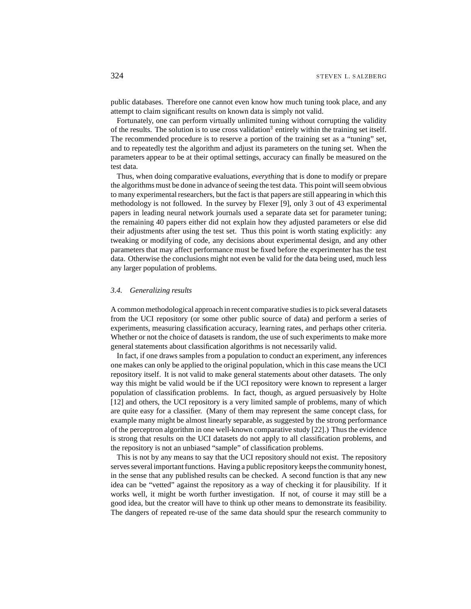public databases. Therefore one cannot even know how much tuning took place, and any attempt to claim significant results on known data is simply not valid.

Fortunately, one can perform virtually unlimited tuning without corrupting the validity of the results. The solution is to use cross validation<sup>3</sup> entirely within the training set itself. The recommended procedure is to reserve a portion of the training set as a "tuning" set, and to repeatedly test the algorithm and adjust its parameters on the tuning set. When the parameters appear to be at their optimal settings, accuracy can finally be measured on the test data.

Thus, when doing comparative evaluations, *everything* that is done to modify or prepare the algorithms must be done in advance of seeing the test data. This point will seem obvious to many experimental researchers, but the fact is that papers are still appearing in which this methodology is not followed. In the survey by Flexer [9], only 3 out of 43 experimental papers in leading neural network journals used a separate data set for parameter tuning; the remaining 40 papers either did not explain how they adjusted parameters or else did their adjustments after using the test set. Thus this point is worth stating explicitly: any tweaking or modifying of code, any decisions about experimental design, and any other parameters that may affect performance must be fixed before the experimenter has the test data. Otherwise the conclusions might not even be valid for the data being used, much less any larger population of problems.

## *3.4. Generalizing results*

A common methodological approach in recent comparative studies is to pick several datasets from the UCI repository (or some other public source of data) and perform a series of experiments, measuring classification accuracy, learning rates, and perhaps other criteria. Whether or not the choice of datasets is random, the use of such experiments to make more general statements about classification algorithms is not necessarily valid.

In fact, if one draws samples from a population to conduct an experiment, any inferences one makes can only be applied to the original population, which in this case means the UCI repository itself. It is not valid to make general statements about other datasets. The only way this might be valid would be if the UCI repository were known to represent a larger population of classification problems. In fact, though, as argued persuasively by Holte [12] and others, the UCI repository is a very limited sample of problems, many of which are quite easy for a classifier. (Many of them may represent the same concept class, for example many might be almost linearly separable, as suggested by the strong performance of the perceptron algorithm in one well-known comparative study [22].) Thus the evidence is strong that results on the UCI datasets do not apply to all classification problems, and the repository is not an unbiased "sample" of classification problems.

This is not by any means to say that the UCI repository should not exist. The repository serves several important functions. Having a public repository keepsthe community honest, in the sense that any published results can be checked. A second function is that any new idea can be "vetted" against the repository as a way of checking it for plausibility. If it works well, it might be worth further investigation. If not, of course it may still be a good idea, but the creator will have to think up other means to demonstrate its feasibility. The dangers of repeated re-use of the same data should spur the research community to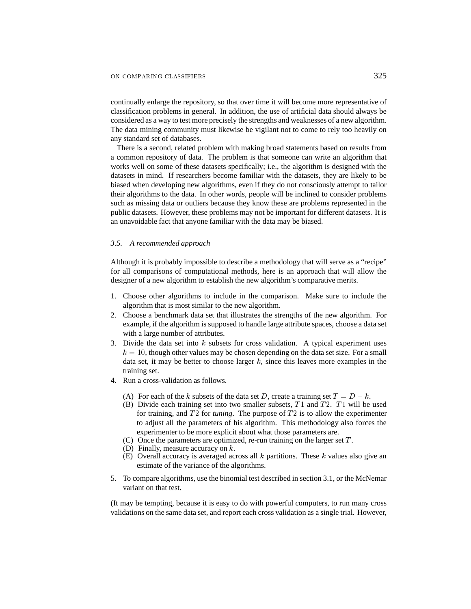continually enlarge the repository, so that over time it will become more representative of classification problems in general. In addition, the use of artificial data should always be considered as a way to test more precisely the strengths and weaknesses of a new algorithm. The data mining community must likewise be vigilant not to come to rely too heavily on any standard set of databases.

There is a second, related problem with making broad statements based on results from a common repository of data. The problem is that someone can write an algorithm that works well on some of these datasets specifically; i.e., the algorithm is designed with the datasets in mind. If researchers become familiar with the datasets, they are likely to be biased when developing new algorithms, even if they do not consciously attempt to tailor their algorithms to the data. In other words, people will be inclined to consider problems such as missing data or outliers because they know these are problems represented in the public datasets. However, these problems may not be important for different datasets. It is an unavoidable fact that anyone familiar with the data may be biased.

## *3.5. A recommended approach*

Although it is probably impossible to describe a methodology that will serve as a "recipe" for all comparisons of computational methods, here is an approach that will allow the designer of a new algorithm to establish the new algorithm's comparative merits.

- 1. Choose other algorithms to include in the comparison. Make sure to include the algorithm that is most similar to the new algorithm.
- 2. Choose a benchmark data set that illustrates the strengths of the new algorithm. For example, if the algorithm is supposed to handle large attribute spaces, choose a data set with a large number of attributes.
- 3. Divide the data set into  $k$  subsets for cross validation. A typical experiment uses  $k = 10$ , though other values may be chosen depending on the data set size. For a small data set, it may be better to choose larger  $k$ , since this leaves more examples in the training set.
- 4. Run a cross-validation as follows.
	- (A) For each of the k subsets of the data set D, create a training set  $T = D k$ .
	- (B) Divide each training set into two smaller subsets,  $T1$  and  $T2$ .  $T1$  will be used for training, and  $T2$  for *tuning*. The purpose of  $T2$  is to allow the experimenter to adjust all the parameters of his algorithm. This methodology also forces the experimenter to be more explicit about what those parameters are.
	- (C) Once the parameters are optimized, re-run training on the larger set  $T$ .
	- (D) Finally, measure accuracy on  $k$ .
	- (E) Overall accuracy is averaged across all  $k$  partitions. These  $k$  values also give an estimate of the variance of the algorithms.
- 5. To compare algorithms, use the binomial test described in section 3.1, or the McNemar variant on that test.

(It may be tempting, because it is easy to do with powerful computers, to run many cross validations on the same data set, and report each cross validation as a single trial. However,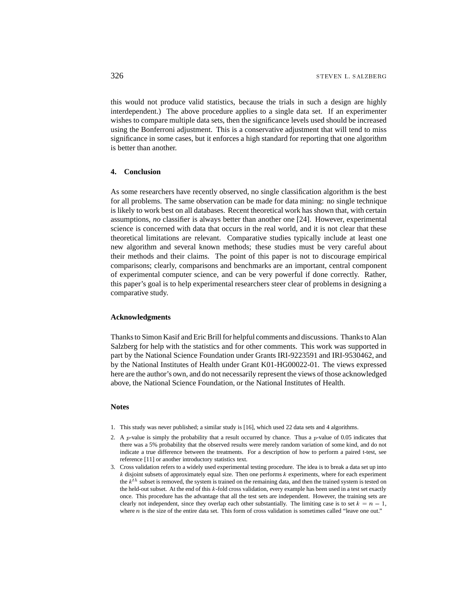this would not produce valid statistics, because the trials in such a design are highly interdependent.) The above procedure applies to a single data set. If an experimenter wishes to compare multiple data sets, then the significance levels used should be increased using the Bonferroni adjustment. This is a conservative adjustment that will tend to miss significance in some cases, but it enforces a high standard for reporting that one algorithm is better than another.

#### **4. Conclusion**

As some researchers have recently observed, no single classification algorithm is the best for all problems. The same observation can be made for data mining: no single technique is likely to work best on all databases. Recent theoretical work has shown that, with certain assumptions, *no* classifier is always better than another one [24]. However, experimental science is concerned with data that occurs in the real world, and it is not clear that these theoretical limitations are relevant. Comparative studies typically include at least one new algorithm and several known methods; these studies must be very careful about their methods and their claims. The point of this paper is not to discourage empirical comparisons; clearly, comparisons and benchmarks are an important, central component of experimental computer science, and can be very powerful if done correctly. Rather, this paper's goal is to help experimental researchers steer clear of problems in designing a comparative study.

# **Acknowledgments**

Thanks to Simon Kasif and Eric Brill for helpful comments and discussions. Thanks to Alan Salzberg for help with the statistics and for other comments. This work was supported in part by the National Science Foundation under Grants IRI-9223591 and IRI-9530462, and by the National Institutes of Health under Grant K01-HG00022-01. The views expressed here are the author's own, and do not necessarily represent the views of those acknowledged above, the National Science Foundation, or the National Institutes of Health.

#### **Notes**

- 1. This study was never published; a similar study is [16], which used 22 data sets and 4 algorithms.
- 2. A p-value is simply the probability that a result occurred by chance. Thus a p-value of  $0.05$  indicates that there was a 5% probability that the observed results were merely random variation of some kind, and do not indicate a true difference between the treatments. For a description of how to perform a paired t-test, see reference [11] or another introductory statistics text.
- 3. Cross validation refers to a widely used experimental testing procedure. The idea is to break a data set up into  $k$  disjoint subsets of approximately equal size. Then one performs  $k$  experiments, where for each experiment the  $k<sup>th</sup>$  subset is removed, the system is trained on the remaining data, and then the trained system is tested on the held-out subset. At the end of this <sup>k</sup>-fold cross validation, every example has been used in a test set exactly once. This procedure has the advantage that all the test sets are independent. However, the training sets are clearly not independent, since they overlap each other substantially. The limiting case is to set  $k = n - 1$ , where n is the size of the entire data set. This form of cross validation is sometimes called "leave one out."